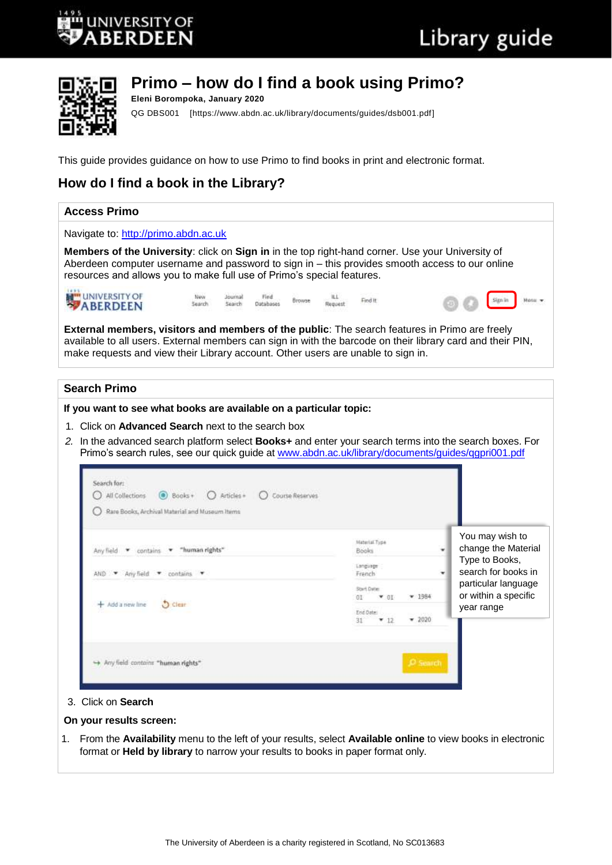



# **Primo – how do I find a book using Primo?**

**Eleni Borompoka, January 2020** QG DBS001 [https://www.abdn.ac.uk/library/documents/guides/dsb001.pdf]

This guide provides guidance on how to use Primo to find books in print and electronic format.

# **How do I find a book in the Library?**

#### **Access Primo**  Navigate to: [http://primo.abdn.ac.uk](http://primo.abdn.ac.uk/) **Members of the University**: click on **Sign in** in the top right-hand corner. Use your University of Aberdeen computer username and password to sign in – this provides smooth access to our online resources and allows you to make full use of Primo's special features. UNIVERSITY OF New Journal Find ILL. Browse Find It Sign in Hoose = Search Search Databases Request **External members, visitors and members of the public**: The search features in Primo are freely available to all users. External members can sign in with the barcode on their library card and their PIN, make requests and view their Library account. Other users are unable to sign in. **Search Primo If you want to see what books are available on a particular topic:**  1. Click on **Advanced Search** next to the search box *2.* In the advanced search platform select **Books+** and enter your search terms into the search boxes. For Primo's search rules, see our quick guide at [www.abdn.ac.uk/library/documents/guides/qgpri001.pdf](http://www.abdn.ac.uk/library/documents/guides/qgpri001.pdf) Search for: O All Collections @ Books+ O Articles+ O Course Reserves Rare Books, Archival Material and Museum Items You may wish to **Material Type** change the Material Any field v contains "human rights' Books ٠ Type to Books, Language search for books in  $AND$   $\bullet$  Any field  $\bullet$  contains Franch ٠ particular language Start Date or within a specific  $-1984$  $-01$ 0T 5 Clear + Add a new line year rangeEnd Date  $-2020$  $+12$ 31 -> Any field contains "human rights" 3. Click on **Search**

#### **On your results screen:**

1. From the **Availability** menu to the left of your results, select **Available online** to view books in electronic format or **Held by library** to narrow your results to books in paper format only.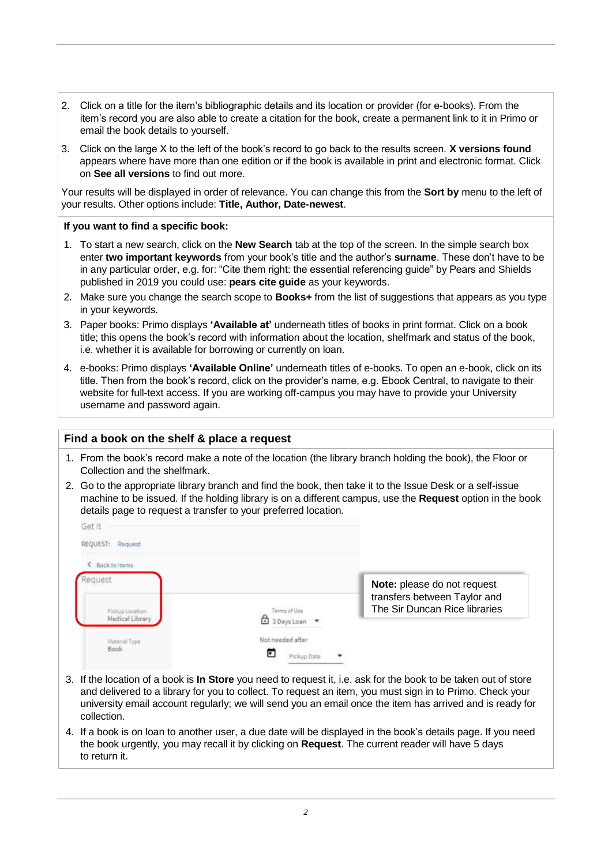- 2. Click on a title for the item's bibliographic details and its location or provider (for e-books). From the item's record you are also able to create a citation for the book, create a permanent link to it in Primo or email the book details to yourself.
- 3. Click on the large X to the left of the book's record to go back to the results screen. **X versions found**  appears where have more than one edition or if the book is available in print and electronic format. Click on **See all versions** to find out more.

Your results will be displayed in order of relevance. You can change this from the **Sort by** menu to the left of your results. Other options include: **Title, Author, Date-newest**.

#### **If you want to find a specific book:**

- 1. To start a new search, click on the **New Search** tab at the top of the screen. In the simple search box enter **two important keywords** from your book's title and the author's **surname**. These don't have to be in any particular order, e.g. for: "Cite them right: the essential referencing guide" by Pears and Shields published in 2019 you could use: **pears cite guide** as your keywords.
- 2. Make sure you change the search scope to **Books+** from the list of suggestions that appears as you type in your keywords.
- 3. Paper books: Primo displays **'Available at'** underneath titles of books in print format. Click on a book title; this opens the book's record with information about the location, shelfmark and status of the book, i.e. whether it is available for borrowing or currently on loan.
- 4. e-books: Primo displays **'Available Online'** underneath titles of e-books. To open an e-book, click on its title. Then from the book's record, click on the provider's name, e.g. Ebook Central, to navigate to their website for full-text access. If you are working off-campus you may have to provide your University username and password again.

## **Find a book on the shelf & place a request**

- 1. From the book's record make a note of the location (the library branch holding the book), the Floor or Collection and the shelfmark.
- 2. Go to the appropriate library branch and find the book, then take it to the Issue Desk or a self-issue machine to be issued. If the holding library is on a different campus, use the **Request** option in the book details page to request a transfer to your preferred location.

| REQUEST: Request                           |                                                |                                                                                              |
|--------------------------------------------|------------------------------------------------|----------------------------------------------------------------------------------------------|
| Back to items.                             |                                                |                                                                                              |
| uesi<br>Fichap Location<br>Medical Library | Terms of Use<br>3 Days Loan                    | Note: please do not request<br>transfers between Taylor and<br>The Sir Duncan Rice libraries |
| Material Type:<br><b>Book</b><br>53 W.Y    | Not needed after<br>÷<br>Ε<br>٠<br>Pickup Date |                                                                                              |

- 3. If the location of a book is **In Store** you need to request it, i.e. ask for the book to be taken out of store and delivered to a library for you to collect. To request an item, you must sign in to Primo. Check your university email account regularly; we will send you an email once the item has arrived and is ready for collection.
- 4. If a book is on loan to another user, a due date will be displayed in the book's details page. If you need the book urgently, you may recall it by clicking on **Request**. The current reader will have 5 days to return it.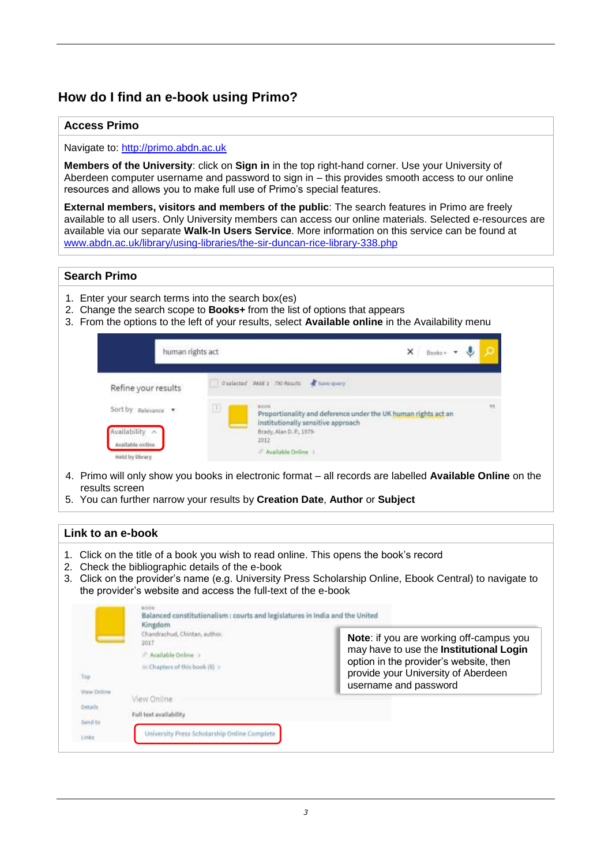# **How do I find an e-book using Primo?**

# **Access Primo**

## Navigate to: [http://primo.abdn.ac.uk](http://primo.abdn.ac.uk/)

**Members of the University**: click on **Sign in** in the top right-hand corner. Use your University of Aberdeen computer username and password to sign in – this provides smooth access to our online resources and allows you to make full use of Primo's special features.

**External members, visitors and members of the public**: The search features in Primo are freely available to all users. Only University members can access our online materials. Selected e-resources are available via our separate **Walk-In Users Service**. More information on this service can be found at [www.abdn.ac.uk/library/using-libraries/the-sir-duncan-rice-library-338.php](http://www.abdn.ac.uk/library/using-libraries/the-sir-duncan-rice-library-338.php)

# **Search Primo**

- 1. Enter your search terms into the search box(es)
- 2. Change the search scope to **Books+** from the list of options that appears
- 3. From the options to the left of your results, select **Available online** in the Availability menu

| human rights act                                                              |                                                                                                                                                                                                  | ×                                                                                                                                                                                                                                    | Books+ * |    |
|-------------------------------------------------------------------------------|--------------------------------------------------------------------------------------------------------------------------------------------------------------------------------------------------|--------------------------------------------------------------------------------------------------------------------------------------------------------------------------------------------------------------------------------------|----------|----|
| Refine your results                                                           | Oselected MGE 1 750 Results & Save query                                                                                                                                                         |                                                                                                                                                                                                                                      |          |    |
| Sort by Relevance v<br>Availability A<br>anilno addelissA.<br>Held by library | $\mathbb{H}^+$<br>sees<br>Proportionality and deference under the UK human rights act an<br>institutionally sensitive approach<br>-<br>Brady, Alan D. P., 1979-<br>2012 2013<br>Available Online | <b>Contract of the Contract of Contract of Contract of Contract of Contract of Contract of Contract of Contract of Contract of Contract of Contract of Contract of Contract of Contract of Contract of Contract of Contract of C</b> |          | 39 |

- 4. Primo will only show you books in electronic format all records are labelled **Available Online** on the results screen
- 5. You can further narrow your results by **Creation Date**, **Author** or **Subject**

## **Link to an e-book**

- 1. Click on the title of a book you wish to read online. This opens the book's record
- 2. Check the bibliographic details of the e-book
- 3. Click on the provider's name (e.g. University Press Scholarship Online, Ebook Central) to navigate to the provider's website and access the full-text of the e-book

| ___          | Chandrachud, Chintan, author.<br>2017<br>Available Online<br>Chapters of this book (0) > | Note: if you are working off-campus you<br>may have to use the Institutional Login<br>option in the provider's website, then<br>provide your University of Aberdeen<br>username and password |
|--------------|------------------------------------------------------------------------------------------|----------------------------------------------------------------------------------------------------------------------------------------------------------------------------------------------|
| ylew Online  | View Online                                                                              |                                                                                                                                                                                              |
| Details.     |                                                                                          |                                                                                                                                                                                              |
| .<br>Send to | Full text availability                                                                   |                                                                                                                                                                                              |